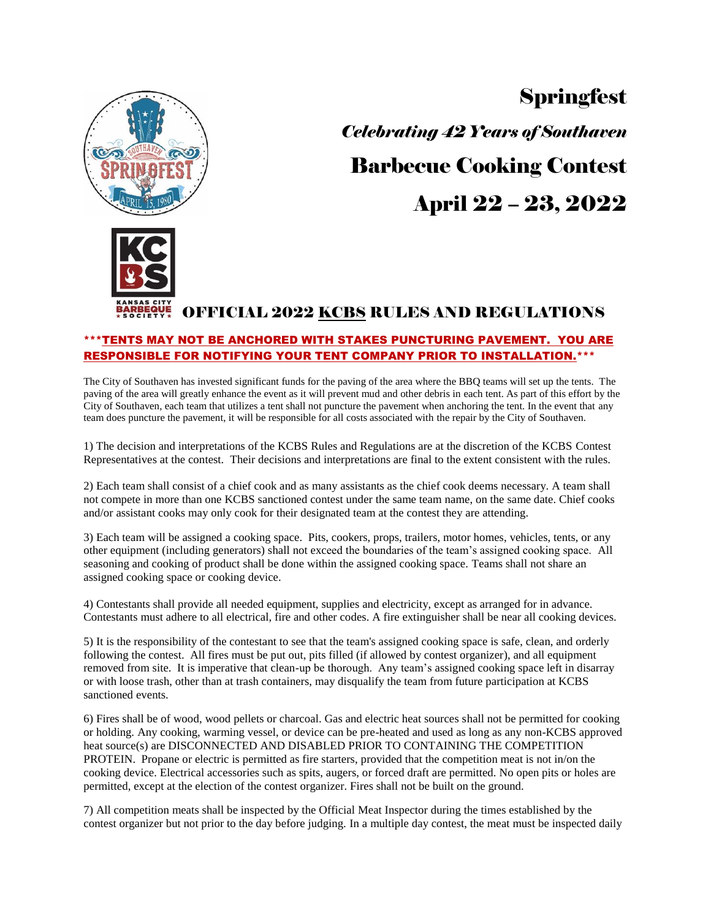

**Springfest** *Celebrating 42 Years of Southaven* Barbecue Cooking Contest April 22 – 23, 2022

# OFFICIAL 2022 KCBS RULES AND REGULATIONS

# \*\*\*TENTS MAY NOT BE ANCHORED WITH STAKES PUNCTURING PAVEMENT. YOU ARE RESPONSIBLE FOR NOTIFYING YOUR TENT COMPANY PRIOR TO INSTALLATION.\*\*\*

The City of Southaven has invested significant funds for the paving of the area where the BBQ teams will set up the tents. The paving of the area will greatly enhance the event as it will prevent mud and other debris in each tent. As part of this effort by the City of Southaven, each team that utilizes a tent shall not puncture the pavement when anchoring the tent. In the event that any team does puncture the pavement, it will be responsible for all costs associated with the repair by the City of Southaven.

1) The decision and interpretations of the KCBS Rules and Regulations are at the discretion of the KCBS Contest Representatives at the contest. Their decisions and interpretations are final to the extent consistent with the rules.

2) Each team shall consist of a chief cook and as many assistants as the chief cook deems necessary. A team shall not compete in more than one KCBS sanctioned contest under the same team name, on the same date. Chief cooks and/or assistant cooks may only cook for their designated team at the contest they are attending.

3) Each team will be assigned a cooking space. Pits, cookers, props, trailers, motor homes, vehicles, tents, or any other equipment (including generators) shall not exceed the boundaries of the team's assigned cooking space. All seasoning and cooking of product shall be done within the assigned cooking space. Teams shall not share an assigned cooking space or cooking device.

4) Contestants shall provide all needed equipment, supplies and electricity, except as arranged for in advance. Contestants must adhere to all electrical, fire and other codes. A fire extinguisher shall be near all cooking devices.

5) It is the responsibility of the contestant to see that the team's assigned cooking space is safe, clean, and orderly following the contest. All fires must be put out, pits filled (if allowed by contest organizer), and all equipment removed from site. It is imperative that clean-up be thorough. Any team's assigned cooking space left in disarray or with loose trash, other than at trash containers, may disqualify the team from future participation at KCBS sanctioned events.

6) Fires shall be of wood, wood pellets or charcoal. Gas and electric heat sources shall not be permitted for cooking or holding. Any cooking, warming vessel, or device can be pre-heated and used as long as any non-KCBS approved heat source(s) are DISCONNECTED AND DISABLED PRIOR TO CONTAINING THE COMPETITION PROTEIN. Propane or electric is permitted as fire starters, provided that the competition meat is not in/on the cooking device. Electrical accessories such as spits, augers, or forced draft are permitted. No open pits or holes are permitted, except at the election of the contest organizer. Fires shall not be built on the ground.

7) All competition meats shall be inspected by the Official Meat Inspector during the times established by the contest organizer but not prior to the day before judging. In a multiple day contest, the meat must be inspected daily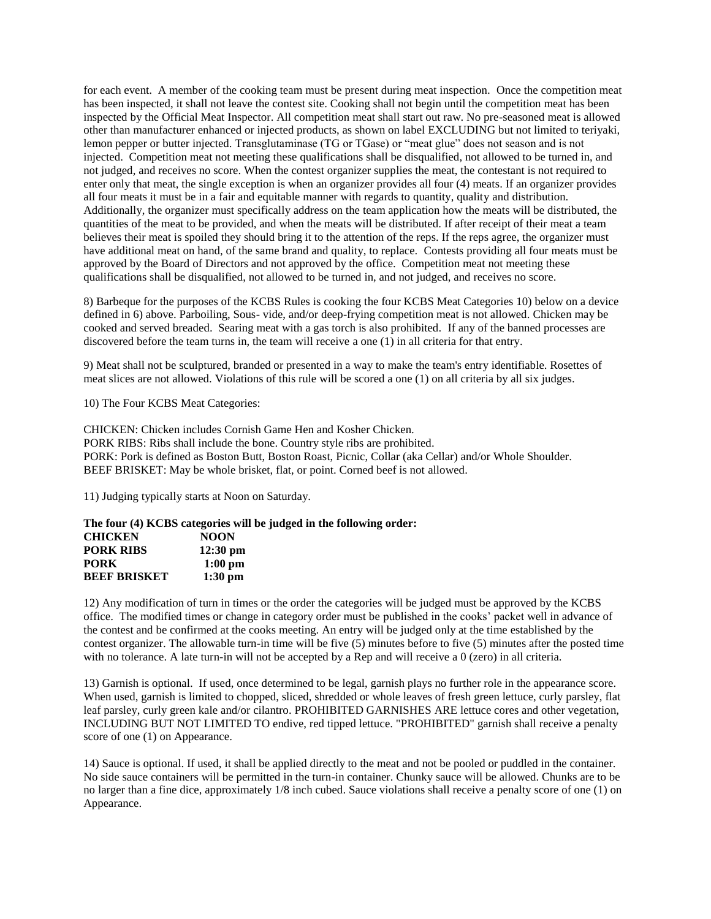for each event. A member of the cooking team must be present during meat inspection. Once the competition meat has been inspected, it shall not leave the contest site. Cooking shall not begin until the competition meat has been inspected by the Official Meat Inspector. All competition meat shall start out raw. No pre-seasoned meat is allowed other than manufacturer enhanced or injected products, as shown on label EXCLUDING but not limited to teriyaki, lemon pepper or butter injected. Transglutaminase (TG or TGase) or "meat glue" does not season and is not injected. Competition meat not meeting these qualifications shall be disqualified, not allowed to be turned in, and not judged, and receives no score. When the contest organizer supplies the meat, the contestant is not required to enter only that meat, the single exception is when an organizer provides all four (4) meats. If an organizer provides all four meats it must be in a fair and equitable manner with regards to quantity, quality and distribution. Additionally, the organizer must specifically address on the team application how the meats will be distributed, the quantities of the meat to be provided, and when the meats will be distributed. If after receipt of their meat a team believes their meat is spoiled they should bring it to the attention of the reps. If the reps agree, the organizer must have additional meat on hand, of the same brand and quality, to replace. Contests providing all four meats must be approved by the Board of Directors and not approved by the office. Competition meat not meeting these qualifications shall be disqualified, not allowed to be turned in, and not judged, and receives no score.

8) Barbeque for the purposes of the KCBS Rules is cooking the four KCBS Meat Categories 10) below on a device defined in 6) above. Parboiling, Sous- vide, and/or deep-frying competition meat is not allowed. Chicken may be cooked and served breaded. Searing meat with a gas torch is also prohibited. If any of the banned processes are discovered before the team turns in, the team will receive a one (1) in all criteria for that entry.

9) Meat shall not be sculptured, branded or presented in a way to make the team's entry identifiable. Rosettes of meat slices are not allowed. Violations of this rule will be scored a one (1) on all criteria by all six judges.

10) The Four KCBS Meat Categories:

CHICKEN: Chicken includes Cornish Game Hen and Kosher Chicken. PORK RIBS: Ribs shall include the bone. Country style ribs are prohibited. PORK: Pork is defined as Boston Butt, Boston Roast, Picnic, Collar (aka Cellar) and/or Whole Shoulder. BEEF BRISKET: May be whole brisket, flat, or point. Corned beef is not allowed.

11) Judging typically starts at Noon on Saturday.

**The four (4) KCBS categories will be judged in the following order: CHICKEN NOON PORK RIBS 12:30 pm PORK 1:00 pm BEEF BRISKET 1:30 pm**

12) Any modification of turn in times or the order the categories will be judged must be approved by the KCBS office. The modified times or change in category order must be published in the cooks' packet well in advance of the contest and be confirmed at the cooks meeting. An entry will be judged only at the time established by the contest organizer. The allowable turn-in time will be five (5) minutes before to five (5) minutes after the posted time with no tolerance. A late turn-in will not be accepted by a Rep and will receive a 0 (zero) in all criteria.

13) Garnish is optional. If used, once determined to be legal, garnish plays no further role in the appearance score. When used, garnish is limited to chopped, sliced, shredded or whole leaves of fresh green lettuce, curly parsley, flat leaf parsley, curly green kale and/or cilantro. PROHIBITED GARNISHES ARE lettuce cores and other vegetation, INCLUDING BUT NOT LIMITED TO endive, red tipped lettuce. "PROHIBITED" garnish shall receive a penalty score of one (1) on Appearance.

14) Sauce is optional. If used, it shall be applied directly to the meat and not be pooled or puddled in the container. No side sauce containers will be permitted in the turn-in container. Chunky sauce will be allowed. Chunks are to be no larger than a fine dice, approximately 1/8 inch cubed. Sauce violations shall receive a penalty score of one (1) on Appearance.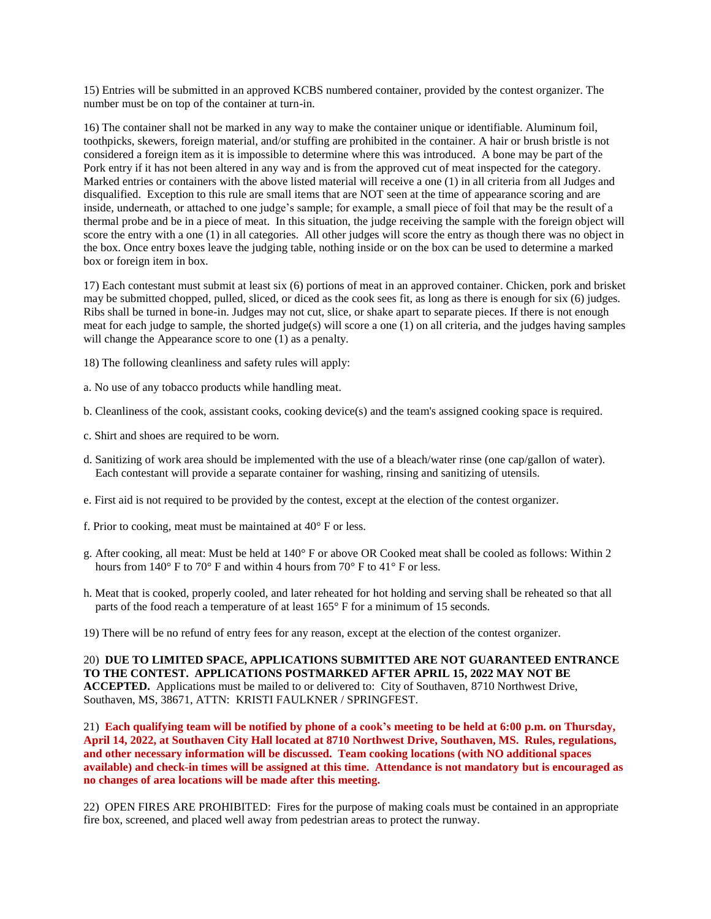15) Entries will be submitted in an approved KCBS numbered container, provided by the contest organizer. The number must be on top of the container at turn-in.

16) The container shall not be marked in any way to make the container unique or identifiable. Aluminum foil, toothpicks, skewers, foreign material, and/or stuffing are prohibited in the container. A hair or brush bristle is not considered a foreign item as it is impossible to determine where this was introduced. A bone may be part of the Pork entry if it has not been altered in any way and is from the approved cut of meat inspected for the category. Marked entries or containers with the above listed material will receive a one (1) in all criteria from all Judges and disqualified. Exception to this rule are small items that are NOT seen at the time of appearance scoring and are inside, underneath, or attached to one judge's sample; for example, a small piece of foil that may be the result of a thermal probe and be in a piece of meat. In this situation, the judge receiving the sample with the foreign object will score the entry with a one (1) in all categories. All other judges will score the entry as though there was no object in the box. Once entry boxes leave the judging table, nothing inside or on the box can be used to determine a marked box or foreign item in box.

17) Each contestant must submit at least six (6) portions of meat in an approved container. Chicken, pork and brisket may be submitted chopped, pulled, sliced, or diced as the cook sees fit, as long as there is enough for six (6) judges. Ribs shall be turned in bone-in. Judges may not cut, slice, or shake apart to separate pieces. If there is not enough meat for each judge to sample, the shorted judge(s) will score a one (1) on all criteria, and the judges having samples will change the Appearance score to one (1) as a penalty.

18) The following cleanliness and safety rules will apply:

- a. No use of any tobacco products while handling meat.
- b. Cleanliness of the cook, assistant cooks, cooking device(s) and the team's assigned cooking space is required.
- c. Shirt and shoes are required to be worn.
- d. Sanitizing of work area should be implemented with the use of a bleach/water rinse (one cap/gallon of water). Each contestant will provide a separate container for washing, rinsing and sanitizing of utensils.
- e. First aid is not required to be provided by the contest, except at the election of the contest organizer.
- f. Prior to cooking, meat must be maintained at 40° F or less.
- g. After cooking, all meat: Must be held at 140° F or above OR Cooked meat shall be cooled as follows: Within 2 hours from  $140^{\circ}$  F to  $70^{\circ}$  F and within 4 hours from  $70^{\circ}$  F to  $41^{\circ}$  F or less.
- h. Meat that is cooked, properly cooled, and later reheated for hot holding and serving shall be reheated so that all parts of the food reach a temperature of at least 165° F for a minimum of 15 seconds.
- 19) There will be no refund of entry fees for any reason, except at the election of the contest organizer.

20) **DUE TO LIMITED SPACE, APPLICATIONS SUBMITTED ARE NOT GUARANTEED ENTRANCE TO THE CONTEST. APPLICATIONS POSTMARKED AFTER APRIL 15, 2022 MAY NOT BE ACCEPTED.** Applications must be mailed to or delivered to: City of Southaven, 8710 Northwest Drive, Southaven, MS, 38671, ATTN: KRISTI FAULKNER / SPRINGFEST.

21) **Each qualifying team will be notified by phone of a cook's meeting to be held at 6:00 p.m. on Thursday, April 14, 2022, at Southaven City Hall located at 8710 Northwest Drive, Southaven, MS. Rules, regulations, and other necessary information will be discussed. Team cooking locations (with NO additional spaces available) and check-in times will be assigned at this time. Attendance is not mandatory but is encouraged as no changes of area locations will be made after this meeting.**

22) OPEN FIRES ARE PROHIBITED: Fires for the purpose of making coals must be contained in an appropriate fire box, screened, and placed well away from pedestrian areas to protect the runway.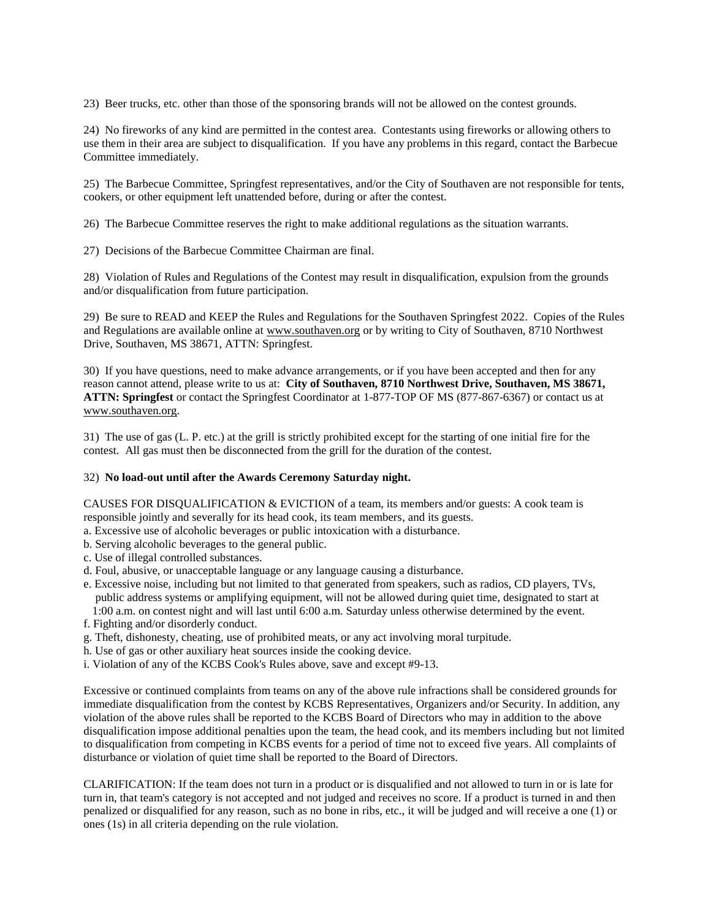23) Beer trucks, etc. other than those of the sponsoring brands will not be allowed on the contest grounds.

24) No fireworks of any kind are permitted in the contest area. Contestants using fireworks or allowing others to use them in their area are subject to disqualification. If you have any problems in this regard, contact the Barbecue Committee immediately.

25) The Barbecue Committee, Springfest representatives, and/or the City of Southaven are not responsible for tents, cookers, or other equipment left unattended before, during or after the contest.

26) The Barbecue Committee reserves the right to make additional regulations as the situation warrants.

27) Decisions of the Barbecue Committee Chairman are final.

28) Violation of Rules and Regulations of the Contest may result in disqualification, expulsion from the grounds and/or disqualification from future participation.

29) Be sure to READ and KEEP the Rules and Regulations for the Southaven Springfest 2022. Copies of the Rules and Regulations are available online at [www.southaven.org](http://www.southaven.org/) or by writing to City of Southaven, 8710 Northwest Drive, Southaven, MS 38671, ATTN: Springfest.

30) If you have questions, need to make advance arrangements, or if you have been accepted and then for any reason cannot attend, please write to us at: **City of Southaven, 8710 Northwest Drive, Southaven, MS 38671, ATTN: Springfest** or contact the Springfest Coordinator at 1-877-TOP OF MS (877-867-6367) or contact us at [www.southaven.org.](http://www.southaven.org/)

31) The use of gas (L. P. etc.) at the grill is strictly prohibited except for the starting of one initial fire for the contest. All gas must then be disconnected from the grill for the duration of the contest.

## 32) **No load-out until after the Awards Ceremony Saturday night.**

CAUSES FOR DISQUALIFICATION & EVICTION of a team, its members and/or guests: A cook team is responsible jointly and severally for its head cook, its team members, and its guests.

- a. Excessive use of alcoholic beverages or public intoxication with a disturbance.
- b. Serving alcoholic beverages to the general public.
- c. Use of illegal controlled substances.
- d. Foul, abusive, or unacceptable language or any language causing a disturbance.
- e. Excessive noise, including but not limited to that generated from speakers, such as radios, CD players, TVs, public address systems or amplifying equipment, will not be allowed during quiet time, designated to start at 1:00 a.m. on contest night and will last until 6:00 a.m. Saturday unless otherwise determined by the event.
- f. Fighting and/or disorderly conduct.
- g. Theft, dishonesty, cheating, use of prohibited meats, or any act involving moral turpitude.
- h. Use of gas or other auxiliary heat sources inside the cooking device.
- i. Violation of any of the KCBS Cook's Rules above, save and except #9-13.

Excessive or continued complaints from teams on any of the above rule infractions shall be considered grounds for immediate disqualification from the contest by KCBS Representatives, Organizers and/or Security. In addition, any violation of the above rules shall be reported to the KCBS Board of Directors who may in addition to the above disqualification impose additional penalties upon the team, the head cook, and its members including but not limited to disqualification from competing in KCBS events for a period of time not to exceed five years. All complaints of disturbance or violation of quiet time shall be reported to the Board of Directors.

CLARIFICATION: If the team does not turn in a product or is disqualified and not allowed to turn in or is late for turn in, that team's category is not accepted and not judged and receives no score. If a product is turned in and then penalized or disqualified for any reason, such as no bone in ribs, etc., it will be judged and will receive a one (1) or ones (1s) in all criteria depending on the rule violation.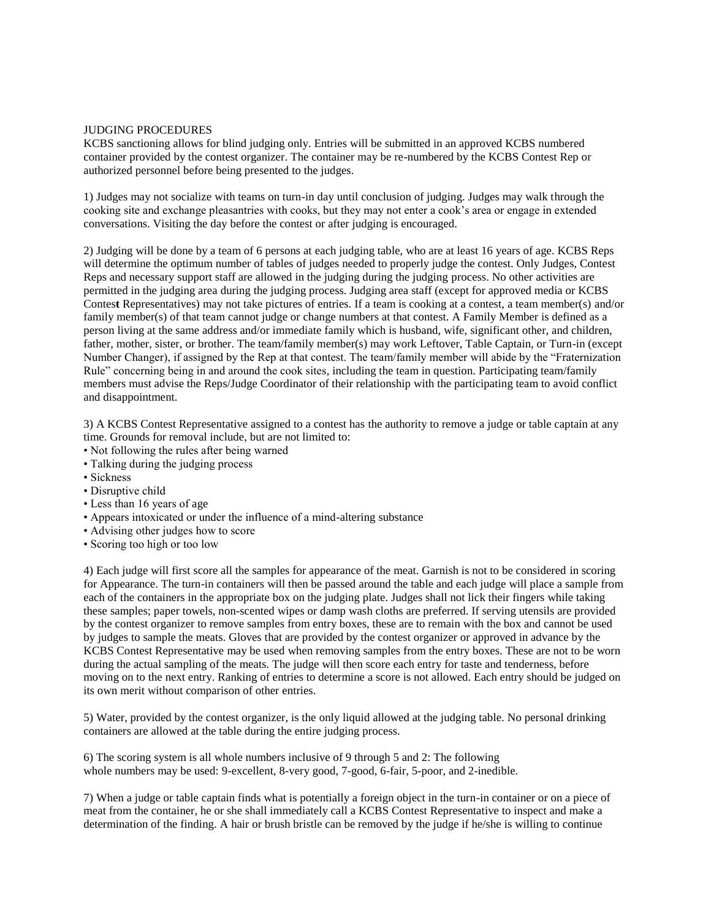### JUDGING PROCEDURES

KCBS sanctioning allows for blind judging only. Entries will be submitted in an approved KCBS numbered container provided by the contest organizer. The container may be re-numbered by the KCBS Contest Rep or authorized personnel before being presented to the judges.

1) Judges may not socialize with teams on turn-in day until conclusion of judging. Judges may walk through the cooking site and exchange pleasantries with cooks, but they may not enter a cook's area or engage in extended conversations. Visiting the day before the contest or after judging is encouraged.

2) Judging will be done by a team of 6 persons at each judging table, who are at least 16 years of age. KCBS Reps will determine the optimum number of tables of judges needed to properly judge the contest. Only Judges, Contest Reps and necessary support staff are allowed in the judging during the judging process. No other activities are permitted in the judging area during the judging process. Judging area staff (except for approved media or KCBS Contes**t** Representatives) may not take pictures of entries. If a team is cooking at a contest, a team member(s) and/or family member(s) of that team cannot judge or change numbers at that contest. A Family Member is defined as a person living at the same address and/or immediate family which is husband, wife, significant other, and children, father, mother, sister, or brother. The team/family member(s) may work Leftover, Table Captain, or Turn-in (except Number Changer), if assigned by the Rep at that contest. The team/family member will abide by the "Fraternization Rule" concerning being in and around the cook sites, including the team in question. Participating team/family members must advise the Reps/Judge Coordinator of their relationship with the participating team to avoid conflict and disappointment.

3) A KCBS Contest Representative assigned to a contest has the authority to remove a judge or table captain at any time. Grounds for removal include, but are not limited to:

- Not following the rules after being warned
- Talking during the judging process
- Sickness
- Disruptive child
- Less than 16 years of age
- Appears intoxicated or under the influence of a mind-altering substance
- Advising other judges how to score
- Scoring too high or too low

4) Each judge will first score all the samples for appearance of the meat. Garnish is not to be considered in scoring for Appearance. The turn-in containers will then be passed around the table and each judge will place a sample from each of the containers in the appropriate box on the judging plate. Judges shall not lick their fingers while taking these samples; paper towels, non-scented wipes or damp wash cloths are preferred. If serving utensils are provided by the contest organizer to remove samples from entry boxes, these are to remain with the box and cannot be used by judges to sample the meats. Gloves that are provided by the contest organizer or approved in advance by the KCBS Contest Representative may be used when removing samples from the entry boxes. These are not to be worn during the actual sampling of the meats. The judge will then score each entry for taste and tenderness, before moving on to the next entry. Ranking of entries to determine a score is not allowed. Each entry should be judged on its own merit without comparison of other entries.

5) Water, provided by the contest organizer, is the only liquid allowed at the judging table. No personal drinking containers are allowed at the table during the entire judging process.

6) The scoring system is all whole numbers inclusive of 9 through 5 and 2: The following whole numbers may be used: 9-excellent, 8-very good, 7-good, 6-fair, 5-poor, and 2-inedible.

7) When a judge or table captain finds what is potentially a foreign object in the turn-in container or on a piece of meat from the container, he or she shall immediately call a KCBS Contest Representative to inspect and make a determination of the finding. A hair or brush bristle can be removed by the judge if he/she is willing to continue